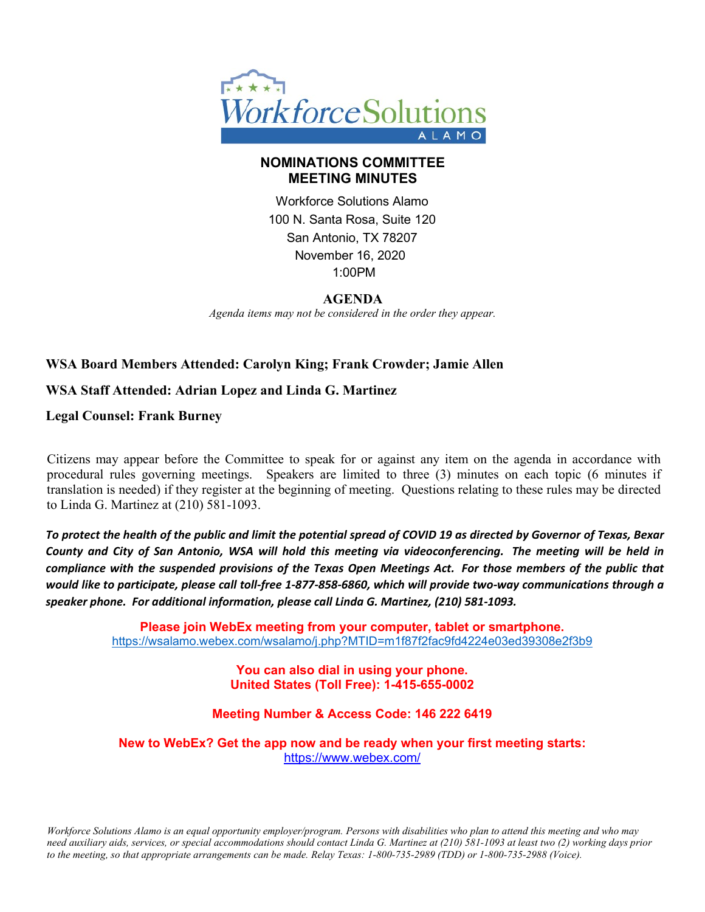

### **NOMINATIONS COMMITTEE MEETING MINUTES**

Workforce Solutions Alamo 100 N. Santa Rosa, Suite 120 San Antonio, TX 78207 November 16, 2020 1:00PM

#### **AGENDA**

*Agenda items may not be considered in the order they appear.*

# **WSA Board Members Attended: Carolyn King; Frank Crowder; Jamie Allen**

## **WSA Staff Attended: Adrian Lopez and Linda G. Martinez**

**Legal Counsel: Frank Burney**

Citizens may appear before the Committee to speak for or against any item on the agenda in accordance with procedural rules governing meetings. Speakers are limited to three (3) minutes on each topic (6 minutes if translation is needed) if they register at the beginning of meeting. Questions relating to these rules may be directed to Linda G. Martinez at (210) 581-1093.

*To protect the health of the public and limit the potential spread of COVID 19 as directed by Governor of Texas, Bexar County and City of San Antonio, WSA will hold this meeting via videoconferencing. The meeting will be held in compliance with the suspended provisions of the Texas Open Meetings Act. For those members of the public that would like to participate, please call toll-free 1-877-858-6860, which will provide two-way communications through a speaker phone. For additional information, please call Linda G. Martinez, (210) 581-1093.*

> **Please join WebEx meeting from your computer, tablet or smartphone.**  <https://wsalamo.webex.com/wsalamo/j.php?MTID=m1f87f2fac9fd4224e03ed39308e2f3b9>

> > **You can also dial in using your phone. United States (Toll Free): 1-415-655-0002**

#### **Meeting Number & Access Code: 146 222 6419**

**New to WebEx? Get the app now and be ready when your first meeting starts:**  <https://www.webex.com/>

*Workforce Solutions Alamo is an equal opportunity employer/program. Persons with disabilities who plan to attend this meeting and who may need auxiliary aids, services, or special accommodations should contact Linda G. Martinez at (210) 581-1093 at least two (2) working days prior to the meeting, so that appropriate arrangements can be made. Relay Texas: 1-800-735-2989 (TDD) or 1-800-735-2988 (Voice).*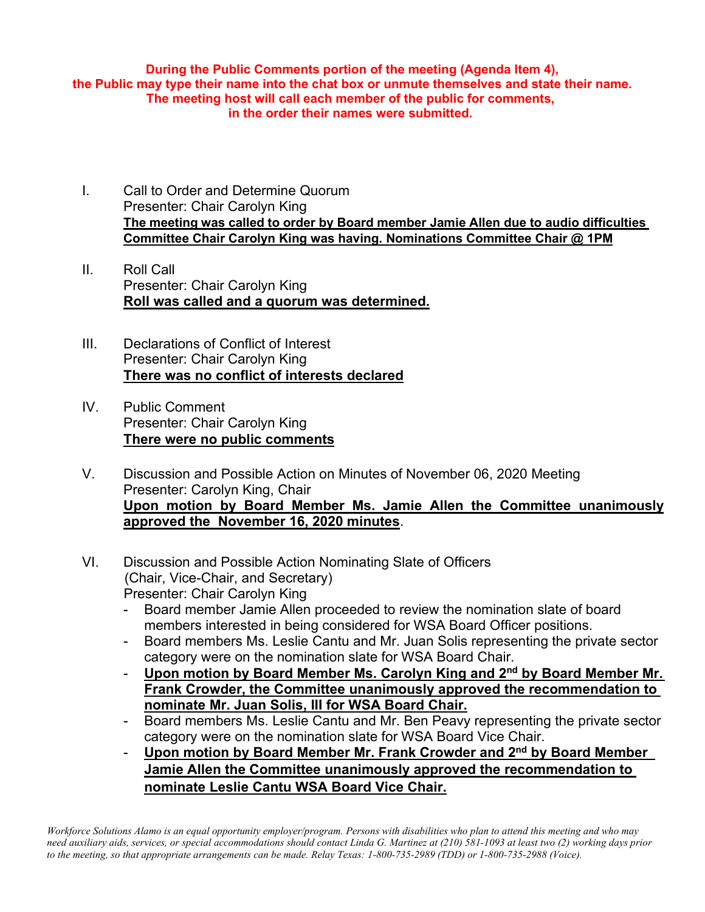**During the Public Comments portion of the meeting (Agenda Item 4), the Public may type their name into the chat box or unmute themselves and state their name. The meeting host will call each member of the public for comments, in the order their names were submitted.**

- I. Call to Order and Determine Quorum Presenter: Chair Carolyn King **The meeting was called to order by Board member Jamie Allen due to audio difficulties Committee Chair Carolyn King was having. Nominations Committee Chair @ 1PM**
- II. Roll Call Presenter: Chair Carolyn King **Roll was called and a quorum was determined.**
- III. Declarations of Conflict of Interest Presenter: Chair Carolyn King **There was no conflict of interests declared**
- IV. Public Comment Presenter: Chair Carolyn King **There were no public comments**
- V. Discussion and Possible Action on Minutes of November 06, 2020 Meeting Presenter: Carolyn King, Chair **Upon motion by Board Member Ms. Jamie Allen the Committee unanimously approved the November 16, 2020 minutes**.
- VI. Discussion and Possible Action Nominating Slate of Officers (Chair, Vice-Chair, and Secretary) Presenter: Chair Carolyn King
	- Board member Jamie Allen proceeded to review the nomination slate of board members interested in being considered for WSA Board Officer positions.
	- Board members Ms. Leslie Cantu and Mr. Juan Solis representing the private sector category were on the nomination slate for WSA Board Chair.
	- **Upon motion by Board Member Ms. Carolyn King and 2nd by Board Member Mr. Frank Crowder, the Committee unanimously approved the recommendation to nominate Mr. Juan Solis, III for WSA Board Chair.**
	- Board members Ms. Leslie Cantu and Mr. Ben Peavy representing the private sector category were on the nomination slate for WSA Board Vice Chair.
	- **Upon motion by Board Member Mr. Frank Crowder and 2nd by Board Member Jamie Allen the Committee unanimously approved the recommendation to nominate Leslie Cantu WSA Board Vice Chair.**

*Workforce Solutions Alamo is an equal opportunity employer/program. Persons with disabilities who plan to attend this meeting and who may need auxiliary aids, services, or special accommodations should contact Linda G. Martinez at (210) 581-1093 at least two (2) working days prior to the meeting, so that appropriate arrangements can be made. Relay Texas: 1-800-735-2989 (TDD) or 1-800-735-2988 (Voice).*